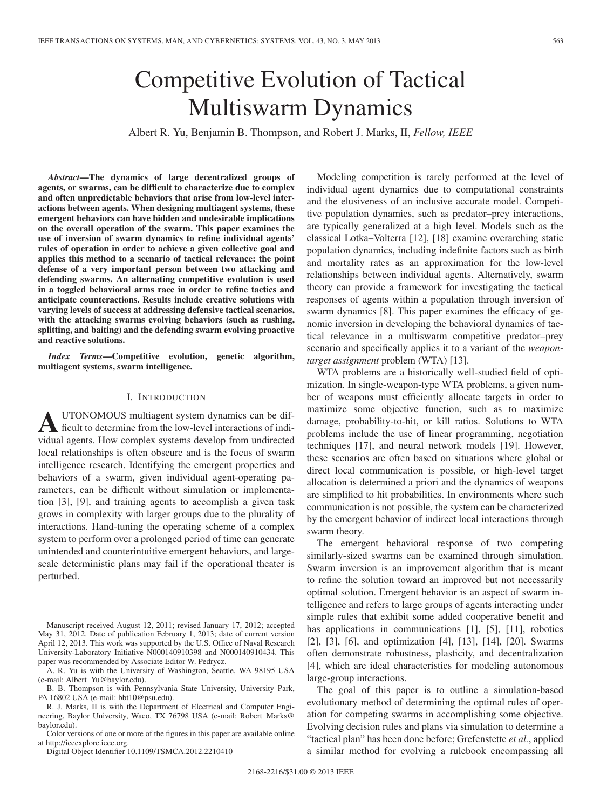# Competitive Evolution of Tactical Multiswarm Dynamics

Albert R. Yu, Benjamin B. Thompson, and Robert J. Marks, II, *Fellow, IEEE*

*Abstract***—The dynamics of large decentralized groups of agents, or swarms, can be difficult to characterize due to complex and often unpredictable behaviors that arise from low-level interactions between agents. When designing multiagent systems, these emergent behaviors can have hidden and undesirable implications on the overall operation of the swarm. This paper examines the use of inversion of swarm dynamics to refine individual agents' rules of operation in order to achieve a given collective goal and applies this method to a scenario of tactical relevance: the point defense of a very important person between two attacking and defending swarms. An alternating competitive evolution is used in a toggled behavioral arms race in order to refine tactics and anticipate counteractions. Results include creative solutions with varying levels of success at addressing defensive tactical scenarios, with the attacking swarms evolving behaviors (such as rushing, splitting, and baiting) and the defending swarm evolving proactive and reactive solutions.**

*Index Terms***—Competitive evolution, genetic algorithm, multiagent systems, swarm intelligence.**

#### I. INTRODUCTION

**A**UTONOMOUS multiagent system dynamics can be difficult to determine from the low-level interactions of individual agents. How complex systems develop from undirected local relationships is often obscure and is the focus of swarm intelligence research. Identifying the emergent properties and behaviors of a swarm, given individual agent-operating parameters, can be difficult without simulation or implementation [3], [9], and training agents to accomplish a given task grows in complexity with larger groups due to the plurality of interactions. Hand-tuning the operating scheme of a complex system to perform over a prolonged period of time can generate unintended and counterintuitive emergent behaviors, and largescale deterministic plans may fail if the operational theater is perturbed.

Manuscript received August 12, 2011; revised January 17, 2012; accepted May 31, 2012. Date of publication February 1, 2013; date of current version April 12, 2013. This work was supported by the U.S. Office of Naval Research University-Laboratory Initiative N000140910398 and N000140910434. This paper was recommended by Associate Editor W. Pedrycz.

A. R. Yu is with the University of Washington, Seattle, WA 98195 USA (e-mail: Albert\_Yu@baylor.edu).

B. B. Thompson is with Pennsylvania State University, University Park, PA 16802 USA (e-mail: bbt10@psu.edu).

R. J. Marks, II is with the Department of Electrical and Computer Engineering, Baylor University, Waco, TX 76798 USA (e-mail: Robert\_Marks@ baylor.edu).

Color versions of one or more of the figures in this paper are available online at http://ieeexplore.ieee.org.

Digital Object Identifier 10.1109/TSMCA.2012.2210410

Modeling competition is rarely performed at the level of individual agent dynamics due to computational constraints and the elusiveness of an inclusive accurate model. Competitive population dynamics, such as predator–prey interactions, are typically generalized at a high level. Models such as the classical Lotka–Volterra [12], [18] examine overarching static population dynamics, including indefinite factors such as birth and mortality rates as an approximation for the low-level relationships between individual agents. Alternatively, swarm theory can provide a framework for investigating the tactical responses of agents within a population through inversion of swarm dynamics [8]. This paper examines the efficacy of genomic inversion in developing the behavioral dynamics of tactical relevance in a multiswarm competitive predator–prey scenario and specifically applies it to a variant of the *weapontarget assignment* problem (WTA) [13].

WTA problems are a historically well-studied field of optimization. In single-weapon-type WTA problems, a given number of weapons must efficiently allocate targets in order to maximize some objective function, such as to maximize damage, probability-to-hit, or kill ratios. Solutions to WTA problems include the use of linear programming, negotiation techniques [17], and neural network models [19]. However, these scenarios are often based on situations where global or direct local communication is possible, or high-level target allocation is determined a priori and the dynamics of weapons are simplified to hit probabilities. In environments where such communication is not possible, the system can be characterized by the emergent behavior of indirect local interactions through swarm theory.

The emergent behavioral response of two competing similarly-sized swarms can be examined through simulation. Swarm inversion is an improvement algorithm that is meant to refine the solution toward an improved but not necessarily optimal solution. Emergent behavior is an aspect of swarm intelligence and refers to large groups of agents interacting under simple rules that exhibit some added cooperative benefit and has applications in communications [1], [5], [11], robotics [2], [3], [6], and optimization [4], [13], [14], [20]. Swarms often demonstrate robustness, plasticity, and decentralization [4], which are ideal characteristics for modeling autonomous large-group interactions.

The goal of this paper is to outline a simulation-based evolutionary method of determining the optimal rules of operation for competing swarms in accomplishing some objective. Evolving decision rules and plans via simulation to determine a "tactical plan" has been done before; Grefenstette *et al.*, applied a similar method for evolving a rulebook encompassing all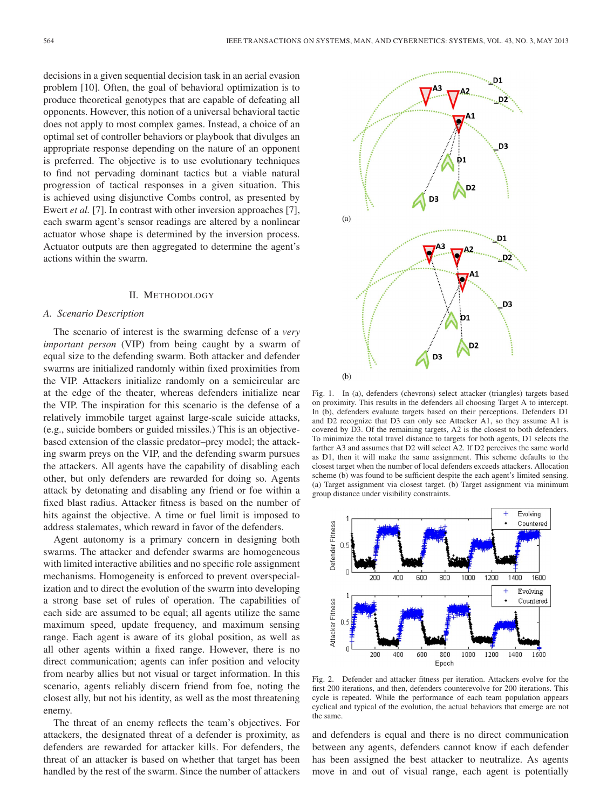decisions in a given sequential decision task in an aerial evasion problem [10]. Often, the goal of behavioral optimization is to produce theoretical genotypes that are capable of defeating all opponents. However, this notion of a universal behavioral tactic does not apply to most complex games. Instead, a choice of an optimal set of controller behaviors or playbook that divulges an appropriate response depending on the nature of an opponent is preferred. The objective is to use evolutionary techniques to find not pervading dominant tactics but a viable natural progression of tactical responses in a given situation. This is achieved using disjunctive Combs control, as presented by Ewert *et al.* [7]. In contrast with other inversion approaches [7], each swarm agent's sensor readings are altered by a nonlinear actuator whose shape is determined by the inversion process. Actuator outputs are then aggregated to determine the agent's actions within the swarm.

#### II. METHODOLOGY

### *A. Scenario Description*

The scenario of interest is the swarming defense of a *very important person* (VIP) from being caught by a swarm of equal size to the defending swarm. Both attacker and defender swarms are initialized randomly within fixed proximities from the VIP. Attackers initialize randomly on a semicircular arc at the edge of the theater, whereas defenders initialize near the VIP. The inspiration for this scenario is the defense of a relatively immobile target against large-scale suicide attacks, (e.g., suicide bombers or guided missiles.) This is an objectivebased extension of the classic predator–prey model; the attacking swarm preys on the VIP, and the defending swarm pursues the attackers. All agents have the capability of disabling each other, but only defenders are rewarded for doing so. Agents attack by detonating and disabling any friend or foe within a fixed blast radius. Attacker fitness is based on the number of hits against the objective. A time or fuel limit is imposed to address stalemates, which reward in favor of the defenders.

Agent autonomy is a primary concern in designing both swarms. The attacker and defender swarms are homogeneous with limited interactive abilities and no specific role assignment mechanisms. Homogeneity is enforced to prevent overspecialization and to direct the evolution of the swarm into developing a strong base set of rules of operation. The capabilities of each side are assumed to be equal; all agents utilize the same maximum speed, update frequency, and maximum sensing range. Each agent is aware of its global position, as well as all other agents within a fixed range. However, there is no direct communication; agents can infer position and velocity from nearby allies but not visual or target information. In this scenario, agents reliably discern friend from foe, noting the closest ally, but not his identity, as well as the most threatening enemy.

The threat of an enemy reflects the team's objectives. For attackers, the designated threat of a defender is proximity, as defenders are rewarded for attacker kills. For defenders, the threat of an attacker is based on whether that target has been handled by the rest of the swarm. Since the number of attackers



Fig. 1. In (a), defenders (chevrons) select attacker (triangles) targets based on proximity. This results in the defenders all choosing Target A to intercept. In (b), defenders evaluate targets based on their perceptions. Defenders D1 and D2 recognize that D3 can only see Attacker A1, so they assume A1 is covered by D3. Of the remaining targets, A2 is the closest to both defenders. To minimize the total travel distance to targets for both agents, D1 selects the farther A3 and assumes that D2 will select A2. If D2 perceives the same world as D1, then it will make the same assignment. This scheme defaults to the closest target when the number of local defenders exceeds attackers. Allocation scheme (b) was found to be sufficient despite the each agent's limited sensing. (a) Target assignment via closest target. (b) Target assignment via minimum group distance under visibility constraints.



Fig. 2. Defender and attacker fitness per iteration. Attackers evolve for the first 200 iterations, and then, defenders counterevolve for 200 iterations. This cycle is repeated. While the performance of each team population appears cyclical and typical of the evolution, the actual behaviors that emerge are not the same.

and defenders is equal and there is no direct communication between any agents, defenders cannot know if each defender has been assigned the best attacker to neutralize. As agents move in and out of visual range, each agent is potentially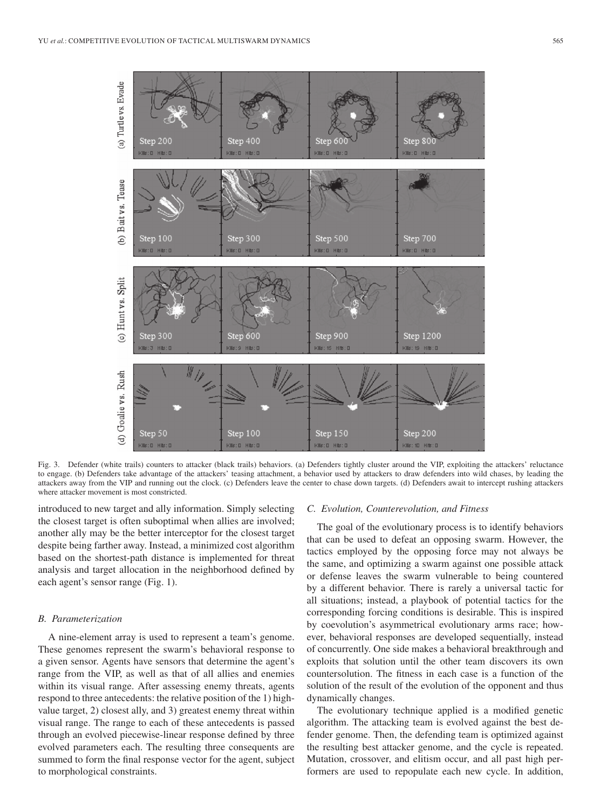

Fig. 3. Defender (white trails) counters to attacker (black trails) behaviors. (a) Defenders tightly cluster around the VIP, exploiting the attackers' reluctance to engage. (b) Defenders take advantage of the attackers' teasing attachment, a behavior used by attackers to draw defenders into wild chases, by leading the attackers away from the VIP and running out the clock. (c) Defenders leave the center to chase down targets. (d) Defenders await to intercept rushing attackers where attacker movement is most constricted.

introduced to new target and ally information. Simply selecting the closest target is often suboptimal when allies are involved; another ally may be the better interceptor for the closest target despite being farther away. Instead, a minimized cost algorithm based on the shortest-path distance is implemented for threat analysis and target allocation in the neighborhood defined by each agent's sensor range (Fig. 1).

# *B. Parameterization*

A nine-element array is used to represent a team's genome. These genomes represent the swarm's behavioral response to a given sensor. Agents have sensors that determine the agent's range from the VIP, as well as that of all allies and enemies within its visual range. After assessing enemy threats, agents respond to three antecedents: the relative position of the 1) highvalue target, 2) closest ally, and 3) greatest enemy threat within visual range. The range to each of these antecedents is passed through an evolved piecewise-linear response defined by three evolved parameters each. The resulting three consequents are summed to form the final response vector for the agent, subject to morphological constraints.

#### *C. Evolution, Counterevolution, and Fitness*

The goal of the evolutionary process is to identify behaviors that can be used to defeat an opposing swarm. However, the tactics employed by the opposing force may not always be the same, and optimizing a swarm against one possible attack or defense leaves the swarm vulnerable to being countered by a different behavior. There is rarely a universal tactic for all situations; instead, a playbook of potential tactics for the corresponding forcing conditions is desirable. This is inspired by coevolution's asymmetrical evolutionary arms race; however, behavioral responses are developed sequentially, instead of concurrently. One side makes a behavioral breakthrough and exploits that solution until the other team discovers its own countersolution. The fitness in each case is a function of the solution of the result of the evolution of the opponent and thus dynamically changes.

The evolutionary technique applied is a modified genetic algorithm. The attacking team is evolved against the best defender genome. Then, the defending team is optimized against the resulting best attacker genome, and the cycle is repeated. Mutation, crossover, and elitism occur, and all past high performers are used to repopulate each new cycle. In addition,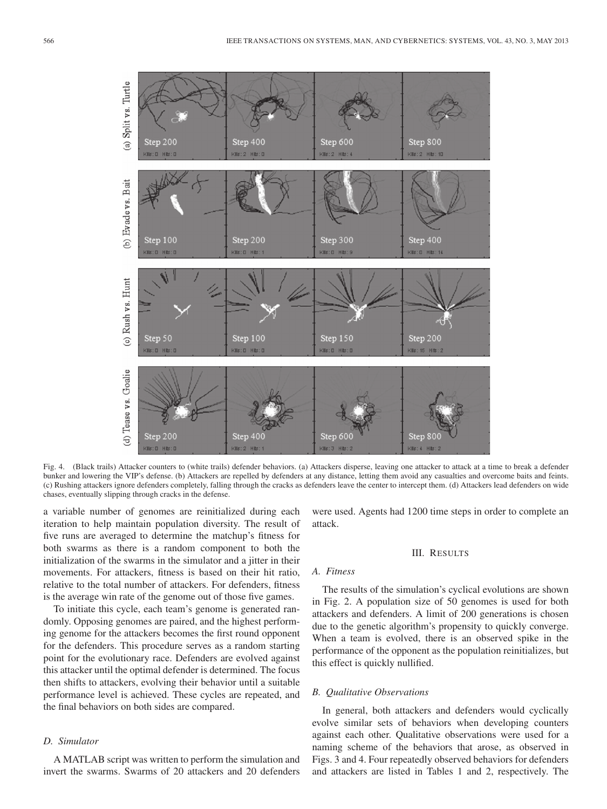

Fig. 4. (Black trails) Attacker counters to (white trails) defender behaviors. (a) Attackers disperse, leaving one attacker to attack at a time to break a defender bunker and lowering the VIP's defense. (b) Attackers are repelled by defenders at any distance, letting them avoid any casualties and overcome baits and feints. (c) Rushing attackers ignore defenders completely, falling through the cracks as defenders leave the center to intercept them. (d) Attackers lead defenders on wide chases, eventually slipping through cracks in the defense.

a variable number of genomes are reinitialized during each iteration to help maintain population diversity. The result of five runs are averaged to determine the matchup's fitness for both swarms as there is a random component to both the initialization of the swarms in the simulator and a jitter in their movements. For attackers, fitness is based on their hit ratio, relative to the total number of attackers. For defenders, fitness is the average win rate of the genome out of those five games.

To initiate this cycle, each team's genome is generated randomly. Opposing genomes are paired, and the highest performing genome for the attackers becomes the first round opponent for the defenders. This procedure serves as a random starting point for the evolutionary race. Defenders are evolved against this attacker until the optimal defender is determined. The focus then shifts to attackers, evolving their behavior until a suitable performance level is achieved. These cycles are repeated, and the final behaviors on both sides are compared.

# *D. Simulator*

A MATLAB script was written to perform the simulation and invert the swarms. Swarms of 20 attackers and 20 defenders

were used. Agents had 1200 time steps in order to complete an attack.

# III. RESULTS

# *A. Fitness*

The results of the simulation's cyclical evolutions are shown in Fig. 2. A population size of 50 genomes is used for both attackers and defenders. A limit of 200 generations is chosen due to the genetic algorithm's propensity to quickly converge. When a team is evolved, there is an observed spike in the performance of the opponent as the population reinitializes, but this effect is quickly nullified.

#### *B. Qualitative Observations*

In general, both attackers and defenders would cyclically evolve similar sets of behaviors when developing counters against each other. Qualitative observations were used for a naming scheme of the behaviors that arose, as observed in Figs. 3 and 4. Four repeatedly observed behaviors for defenders and attackers are listed in Tables 1 and 2, respectively. The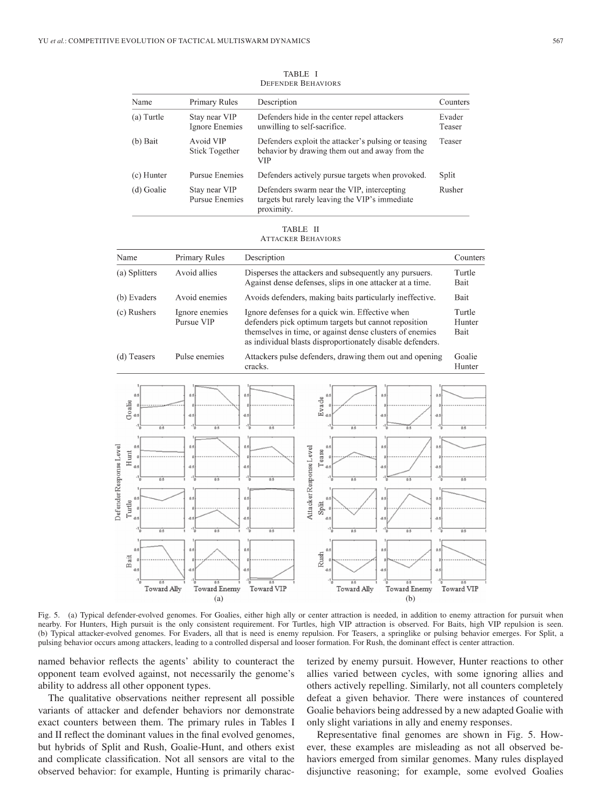| Name       | Primary Rules                          | Description                                                                                                  | Counters         |
|------------|----------------------------------------|--------------------------------------------------------------------------------------------------------------|------------------|
| (a) Turtle | Stay near VIP<br>Ignore Enemies        | Defenders hide in the center repel attackers<br>unwilling to self-sacrifice.                                 | Evader<br>Teaser |
| $(b)$ Bait | Avoid VIP<br><b>Stick Together</b>     | Defenders exploit the attacker's pulsing or teasing<br>behavior by drawing them out and away from the<br>VIP | Teaser           |
| (c) Hunter | <b>Pursue Enemies</b>                  | Defenders actively pursue targets when provoked.                                                             | <b>Split</b>     |
| (d) Goalie | Stay near VIP<br><b>Pursue Enemies</b> | Defenders swarm near the VIP, intercepting<br>targets but rarely leaving the VIP's immediate<br>proximity.   | Rusher           |

TABLE I DEFENDER BEHAVIORS

# TABLE II

ATTACKER BEHAVIORS

| Name          | Primary Rules                | Description                                                                                                                                                                                                                       | Counters                 |
|---------------|------------------------------|-----------------------------------------------------------------------------------------------------------------------------------------------------------------------------------------------------------------------------------|--------------------------|
| (a) Splitters | Avoid allies                 | Disperses the attackers and subsequently any pursuers.<br>Against dense defenses, slips in one attacker at a time.                                                                                                                | Turtle<br>Bait           |
| (b) Evaders   | Avoid enemies                | Avoids defenders, making baits particularly ineffective.                                                                                                                                                                          | Bait                     |
| (c) Rushers   | Ignore enemies<br>Pursue VIP | Ignore defenses for a quick win. Effective when<br>defenders pick optimum targets but cannot reposition<br>themselves in time, or against dense clusters of enemies<br>as individual blasts disproportionately disable defenders. | Turtle<br>Hunter<br>Bait |
| (d) Teasers   | Pulse enemies                | Attackers pulse defenders, drawing them out and opening                                                                                                                                                                           | Goalie                   |



Fig. 5. (a) Typical defender-evolved genomes. For Goalies, either high ally or center attraction is needed, in addition to enemy attraction for pursuit when nearby. For Hunters, High pursuit is the only consistent requirement. For Turtles, high VIP attraction is observed. For Baits, high VIP repulsion is seen. (b) Typical attacker-evolved genomes. For Evaders, all that is need is enemy repulsion. For Teasers, a springlike or pulsing behavior emerges. For Split, a pulsing behavior occurs among attackers, leading to a controlled dispersal and looser formation. For Rush, the dominant effect is center attraction.

named behavior reflects the agents' ability to counteract the opponent team evolved against, not necessarily the genome's ability to address all other opponent types.

The qualitative observations neither represent all possible variants of attacker and defender behaviors nor demonstrate exact counters between them. The primary rules in Tables I and II reflect the dominant values in the final evolved genomes, but hybrids of Split and Rush, Goalie-Hunt, and others exist and complicate classification. Not all sensors are vital to the observed behavior: for example, Hunting is primarily characterized by enemy pursuit. However, Hunter reactions to other allies varied between cycles, with some ignoring allies and others actively repelling. Similarly, not all counters completely defeat a given behavior. There were instances of countered Goalie behaviors being addressed by a new adapted Goalie with only slight variations in ally and enemy responses.

Representative final genomes are shown in Fig. 5. However, these examples are misleading as not all observed behaviors emerged from similar genomes. Many rules displayed disjunctive reasoning; for example, some evolved Goalies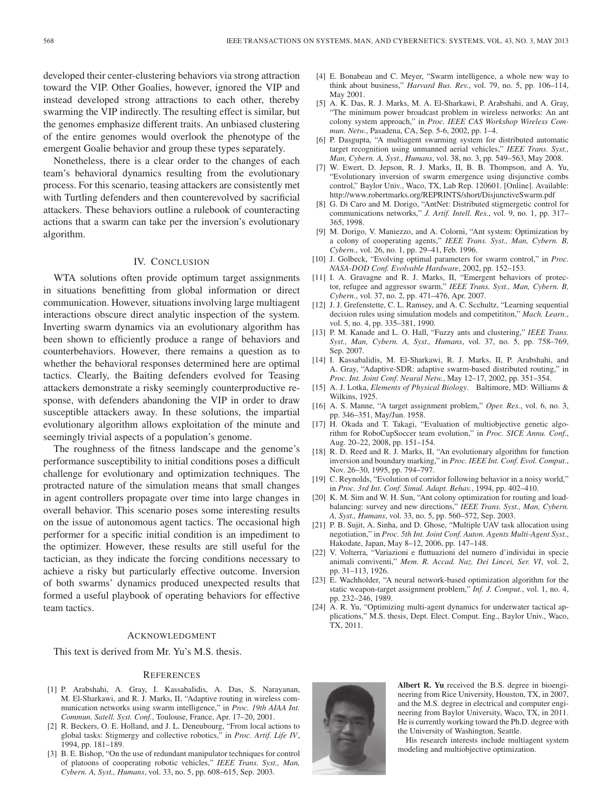developed their center-clustering behaviors via strong attraction toward the VIP. Other Goalies, however, ignored the VIP and instead developed strong attractions to each other, thereby swarming the VIP indirectly. The resulting effect is similar, but the genomes emphasize different traits. An unbiased clustering of the entire genomes would overlook the phenotype of the emergent Goalie behavior and group these types separately.

Nonetheless, there is a clear order to the changes of each team's behavioral dynamics resulting from the evolutionary process. For this scenario, teasing attackers are consistently met with Turtling defenders and then counterevolved by sacrificial attackers. These behaviors outline a rulebook of counteracting actions that a swarm can take per the inversion's evolutionary algorithm.

# IV. CONCLUSION

WTA solutions often provide optimum target assignments in situations benefitting from global information or direct communication. However, situations involving large multiagent interactions obscure direct analytic inspection of the system. Inverting swarm dynamics via an evolutionary algorithm has been shown to efficiently produce a range of behaviors and counterbehaviors. However, there remains a question as to whether the behavioral responses determined here are optimal tactics. Clearly, the Baiting defenders evolved for Teasing attackers demonstrate a risky seemingly counterproductive response, with defenders abandoning the VIP in order to draw susceptible attackers away. In these solutions, the impartial evolutionary algorithm allows exploitation of the minute and seemingly trivial aspects of a population's genome.

The roughness of the fitness landscape and the genome's performance susceptibility to initial conditions poses a difficult challenge for evolutionary and optimization techniques. The protracted nature of the simulation means that small changes in agent controllers propagate over time into large changes in overall behavior. This scenario poses some interesting results on the issue of autonomous agent tactics. The occasional high performer for a specific initial condition is an impediment to the optimizer. However, these results are still useful for the tactician, as they indicate the forcing conditions necessary to achieve a risky but particularly effective outcome. Inversion of both swarms' dynamics produced unexpected results that formed a useful playbook of operating behaviors for effective team tactics.

#### ACKNOWLEDGMENT

This text is derived from Mr. Yu's M.S. thesis.

#### **REFERENCES**

- [1] P. Arabshahi, A. Gray, I. Kassabalidis, A. Das, S. Narayanan, M. El-Sharkawi, and R. J. Marks, II, "Adaptive routing in wireless communication networks using swarm intelligence," in *Proc. 19th AIAA Int. Commun. Satell. Syst. Conf.*, Toulouse, France, Apr. 17–20, 2001.
- [2] R. Beckers, O. E. Holland, and J. L. Deneubourg, "From local actions to global tasks: Stigmergy and collective robotics," in *Proc. Artif. Life IV*, 1994, pp. 181–189.
- [3] B. E. Bishop, "On the use of redundant manipulator techniques for control of platoons of cooperating robotic vehicles," *IEEE Trans. Syst., Man, Cybern. A, Syst., Humans*, vol. 33, no. 5, pp. 608–615, Sep. 2003.
- [4] E. Bonabeau and C. Meyer, "Swarm intelligence, a whole new way to think about business," *Harvard Bus. Rev.*, vol. 79, no. 5, pp. 106–114, May 2001.
- [5] A. K. Das, R. J. Marks, M. A. El-Sharkawi, P. Arabshahi, and A. Gray, "The minimum power broadcast problem in wireless networks: An ant colony system approach," in *Proc. IEEE CAS Workshop Wireless Commun. Netw.*, Pasadena, CA, Sep. 5-6, 2002, pp. 1–4.
- [6] P. Dasgupta, "A multiagent swarming system for distributed automatic target recognition using unmanned aerial vehicles," *IEEE Trans. Syst., Man, Cybern. A, Syst., Humans*, vol. 38, no. 3, pp. 549–563, May 2008.
- [7] W. Ewert, D. Jepson, R. J. Marks, II, B. B. Thompson, and A. Yu, "Evolutionary inversion of swarm emergence using disjunctive combs control," Baylor Univ., Waco, TX, Lab Rep. 120601. [Online]. Available: http://www.robertmarks.org/REPRINTS/short/DisjunctiveSwarm.pdf
- [8] G. Di Caro and M. Dorigo, "AntNet: Distributed stigmergetic control for communications networks," *J. Artif. Intell. Res.*, vol. 9, no. 1, pp. 317– 365, 1998.
- [9] M. Dorigo, V. Maniezzo, and A. Colorni, "Ant system: Optimization by a colony of cooperating agents," *IEEE Trans. Syst., Man, Cybern. B, Cybern.*, vol. 26, no. 1, pp. 29–41, Feb. 1996.
- [10] J. Golbeck, "Evolving optimal parameters for swarm control," in *Proc. NASA-DOD Conf. Evolvable Hardware*, 2002, pp. 152–153.
- [11] I. A. Gravagne and R. J. Marks, II, "Emergent behaviors of protector, refugee and aggressor swarm," *IEEE Trans. Syst., Man, Cybern. B, Cybern.*, vol. 37, no. 2, pp. 471–476, Apr. 2007.
- [12] J. J. Grefenstette, C. L. Ramsey, and A. C. Scchultz, "Learning sequential decision rules using simulation models and competititon," *Mach. Learn.*, vol. 5, no. 4, pp. 335–381, 1990.
- [13] P. M. Kanade and L. O. Hall, "Fuzzy ants and clustering," *IEEE Trans. Syst., Man, Cybern. A, Syst., Humans*, vol. 37, no. 5, pp. 758–769, Sep. 2007.
- [14] I. Kassabalidis, M. El-Sharkawi, R. J. Marks, II, P. Arabshahi, and A. Gray, "Adaptive-SDR: adaptive swarm-based distributed routing," in *Proc. Int. Joint Conf. Neural Netw.*, May 12–17, 2002, pp. 351–354.
- [15] A. J. Lotka, *Elements of Physical Biology*. Baltimore, MD: Williams & Wilkins, 1925.
- [16] A. S. Manne, "A target assignment problem," *Oper. Res.*, vol. 6, no. 3, pp. 346–351, May/Jun. 1958.
- [17] H. Okada and T. Takagi, "Evaluation of multiobjective genetic algorithm for RoboCupSoccer team evolution," in *Proc. SICE Annu. Conf.*, Aug. 20–22, 2008, pp. 151–154.
- [18] R. D. Reed and R. J. Marks, II, "An evolutionary algorithm for function inversion and boundary marking," in *Proc. IEEE Int. Conf. Evol. Comput.*, Nov. 26–30, 1995, pp. 794–797.
- [19] C. Reynolds, "Evolution of corridor following behavior in a noisy world," in *Proc. 3rd Int. Conf. Simul. Adapt. Behav.*, 1994, pp. 402–410.
- [20] K. M. Sim and W. H. Sun, "Ant colony optimization for routing and loadbalancing: survey and new directions," *IEEE Trans. Syst., Man, Cybern. A, Syst., Humans*, vol. 33, no. 5, pp. 560–572, Sep. 2003.
- [21] P. B. Sujit, A. Sinha, and D. Ghose, "Multiple UAV task allocation using negotiation," in *Proc. 5th Int. Joint Conf. Auton. Agents Multi-Agent Syst.*, Hakodate, Japan, May 8–12, 2006, pp. 147–148.
- [22] V. Volterra, "Variazioni e fluttuazioni del numero d'individui in specie animali conviventi," *Mem. R. Accad. Naz. Dei Lincei, Ser. VI*, vol. 2, pp. 31–113, 1926.
- [23] E. Wachholder, "A neural network-based optimization algorithm for the static weapon-target assignment problem," *Inf. J. Comput.*, vol. 1, no. 4, pp. 232–246, 1989.
- [24] A. R. Yu, "Optimizing multi-agent dynamics for underwater tactical applications," M.S. thesis, Dept. Elect. Comput. Eng., Baylor Univ., Waco, TX, 2011.



**Albert R. Yu** received the B.S. degree in bioengineering from Rice University, Houston, TX, in 2007, and the M.S. degree in electrical and computer engineering from Baylor University, Waco, TX, in 2011. He is currently working toward the Ph.D. degree with the University of Washington, Seattle.

His research interests include multiagent system modeling and multiobjective optimization.